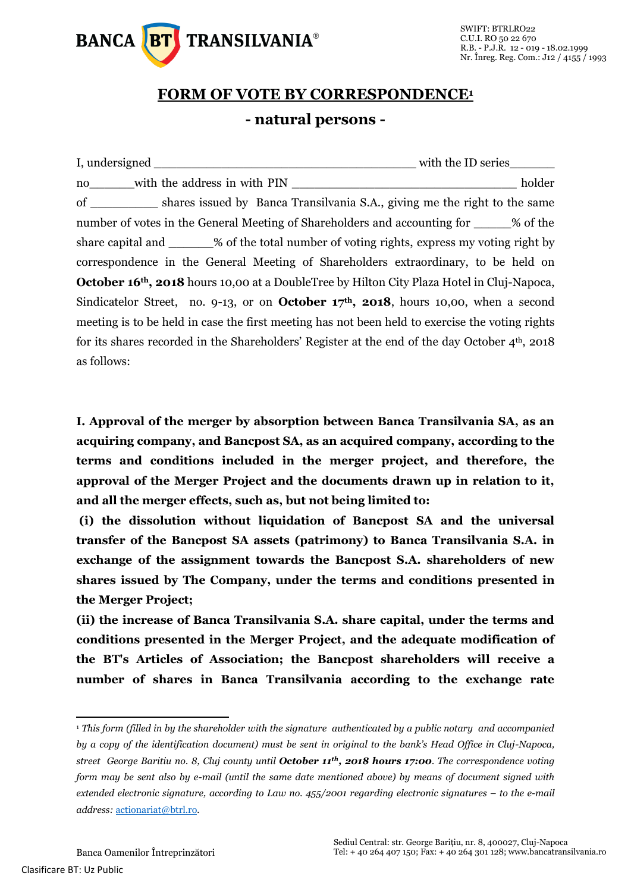

## **FORM OF VOTE BY CORRESPONDENCE<sup>1</sup> - natural persons -**

|                                                                                                        | with the ID series__________                                                                     |  |  |  |
|--------------------------------------------------------------------------------------------------------|--------------------------------------------------------------------------------------------------|--|--|--|
| no with the address in with PIN                                                                        | holder                                                                                           |  |  |  |
|                                                                                                        | of _____________ shares issued by Banca Transilvania S.A., giving me the right to the same       |  |  |  |
| number of votes in the General Meeting of Shareholders and accounting for ______% of the               |                                                                                                  |  |  |  |
|                                                                                                        | share capital and _______% of the total number of voting rights, express my voting right by      |  |  |  |
|                                                                                                        | correspondence in the General Meeting of Shareholders extraordinary, to be held on               |  |  |  |
|                                                                                                        | <b>October 16th, 2018</b> hours 10,00 at a DoubleTree by Hilton City Plaza Hotel in Cluj-Napoca, |  |  |  |
| Sindicatelor Street, no. 9-13, or on <b>October 17<sup>th</sup>, 2018</b> , hours 10,00, when a second |                                                                                                  |  |  |  |
|                                                                                                        | meeting is to be held in case the first meeting has not been held to exercise the voting rights  |  |  |  |
|                                                                                                        | for its shares recorded in the Shareholders' Register at the end of the day October $4th$ , 2018 |  |  |  |
| as follows:                                                                                            |                                                                                                  |  |  |  |

**I. Approval of the merger by absorption between Banca Transilvania SA, as an acquiring company, and Bancpost SA, as an acquired company, according to the terms and conditions included in the merger project, and therefore, the approval of the Merger Project and the documents drawn up in relation to it, and all the merger effects, such as, but not being limited to:**

**(i) the dissolution without liquidation of Bancpost SA and the universal transfer of the Bancpost SA assets (patrimony) to Banca Transilvania S.A. in exchange of the assignment towards the Bancpost S.A. shareholders of new shares issued by The Company, under the terms and conditions presented in the Merger Project;** 

**(ii) the increase of Banca Transilvania S.A. share capital, under the terms and conditions presented in the Merger Project, and the adequate modification of the BT's Articles of Association; the Bancpost shareholders will receive a number of shares in Banca Transilvania according to the exchange rate** 

 $\overline{a}$ 

<sup>1</sup> *This form (filled in by the shareholder with the signature authenticated by a public notary and accompanied by a copy of the identification document) must be sent in original to the bank's Head Office in Cluj-Napoca, street George Baritiu no. 8, Cluj county until October 11th, 2018 hours 17:00. The correspondence voting form may be sent also by e-mail (until the same date mentioned above) by means of document signed with extended electronic signature, according to Law no. 455/2001 regarding electronic signatures – to the e-mail address:* [actionariat@btrl.ro](mailto:actionariat@btrl.ro)*.*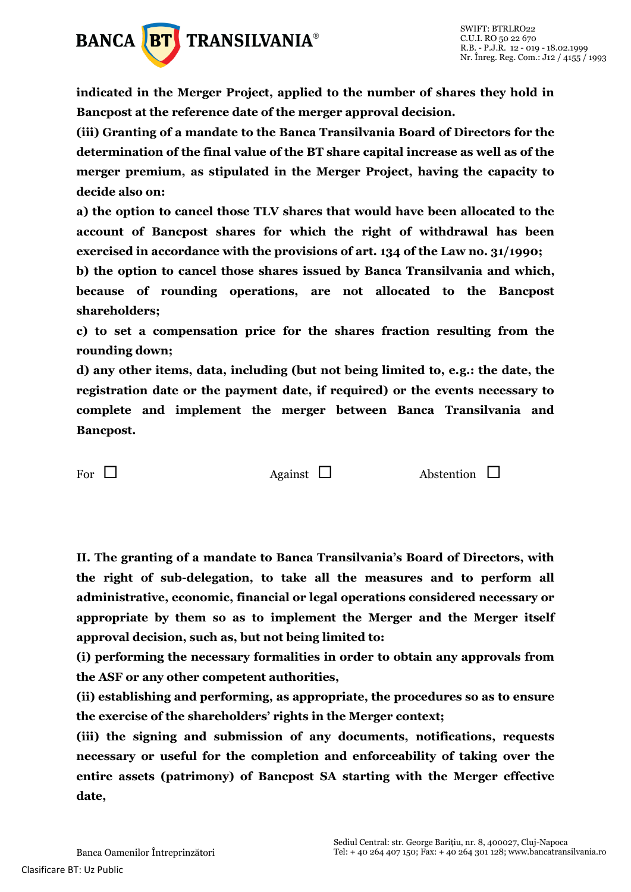

**indicated in the Merger Project, applied to the number of shares they hold in Bancpost at the reference date of the merger approval decision.**

**(iii) Granting of a mandate to the Banca Transilvania Board of Directors for the determination of the final value of the BT share capital increase as well as of the merger premium, as stipulated in the Merger Project, having the capacity to decide also on:**

**a) the option to cancel those TLV shares that would have been allocated to the account of Bancpost shares for which the right of withdrawal has been exercised in accordance with the provisions of art. 134 of the Law no. 31/1990;** 

**b) the option to cancel those shares issued by Banca Transilvania and which, because of rounding operations, are not allocated to the Bancpost shareholders;** 

**c) to set a compensation price for the shares fraction resulting from the rounding down;** 

**d) any other items, data, including (but not being limited to, e.g.: the date, the registration date or the payment date, if required) or the events necessary to complete and implement the merger between Banca Transilvania and Bancpost.**

For  $\Box$  Against  $\Box$  Abstention  $\Box$ 

**II. The granting of a mandate to Banca Transilvania's Board of Directors, with the right of sub-delegation, to take all the measures and to perform all administrative, economic, financial or legal operations considered necessary or appropriate by them so as to implement the Merger and the Merger itself approval decision, such as, but not being limited to:** 

**(i) performing the necessary formalities in order to obtain any approvals from the ASF or any other competent authorities,** 

**(ii) establishing and performing, as appropriate, the procedures so as to ensure the exercise of the shareholders' rights in the Merger context;** 

**(iii) the signing and submission of any documents, notifications, requests necessary or useful for the completion and enforceability of taking over the entire assets (patrimony) of Bancpost SA starting with the Merger effective date,**